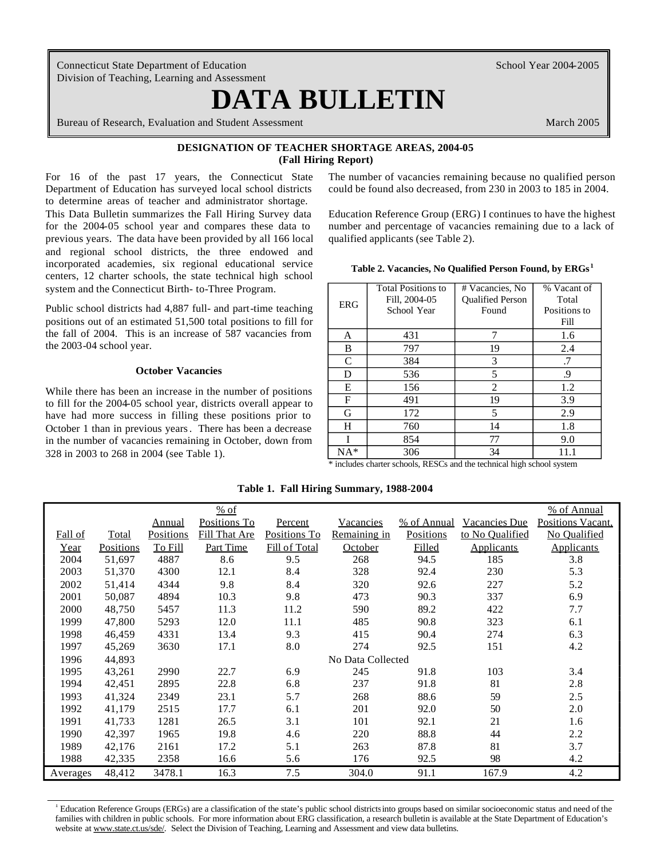Connecticut State Department of Education Division of Teaching, Learning and Assessment

# **DATA BULLETIN**

Bureau of Research, Evaluation and Student Assessment March 2005

School Year 2004-2005

### **DESIGNATION OF TEACHER SHORTAGE AREAS, 2004-05 (Fall Hiring Report)**

to determine areas of teacher and administrator shortage. previous years. The data have been provided by all 166 local qualified applicants (see Table 2). and regional school districts, the three endowed and incorporated academies, six regional educational service **Table 2. Vacancies No Qualified Person Found, by ERGs**<sup>1</sup> centers, 12 charter schools, the state technical high school system and the Connecticut Birth- to-Three Program.

Public school districts had 4,887 full- and part-time teaching positions out of an estimated 51,500 total positions to fill for the fall of 2004. This is an increase of 587 vacancies from the 2003-04 school year.

#### **October Vacancies**

While there has been an increase in the number of positions to fill for the 2004-05 school year, districts overall appear to have had more success in filling these positions prior to October 1 than in previous years . There has been a decrease in the number of vacancies remaining in October, down from 328 in 2003 to 268 in 2004 (see Table 1).

For 16 of the past 17 years, the Connecticut State The number of vacancies remaining because no qualified person Department of Education has surveyed local school districts could be found also decreased, from 230 in 2003 to 185 in 2004.

This Data Bulletin summarizes the Fall Hiring Survey data Education Reference Group (ERG) I continues to have the highest for the 2004-05 school year and compares these data to number and percentage of vacancies remaining due to a lack of

|  |  |  | Table 2. Vacancies, No Qualified Person Found, by ERGs |  |
|--|--|--|--------------------------------------------------------|--|
|--|--|--|--------------------------------------------------------|--|

| <b>ERG</b>   | <b>Total Positions to</b><br>Fill, 2004-05<br>School Year | # Vacancies, No<br><b>Qualified Person</b><br>Found | % Vacant of<br>Total<br>Positions to<br>Fill |
|--------------|-----------------------------------------------------------|-----------------------------------------------------|----------------------------------------------|
| A            | 431                                                       | 7                                                   | 1.6                                          |
| B            | 797                                                       | 19                                                  | 2.4                                          |
| $\mathsf{C}$ | 384                                                       | 3                                                   | .7                                           |
| D            | 536                                                       | 5                                                   | .9                                           |
| Е            | 156                                                       | $\overline{c}$                                      | 1.2                                          |
| F            | 491                                                       | 19                                                  | 3.9                                          |
| G            | 172                                                       | 5                                                   | 2.9                                          |
| H            | 760                                                       | 14                                                  | 1.8                                          |
|              | 854                                                       | 77                                                  | 9.0                                          |
| NA*          | 306                                                       | 34                                                  | 11.1                                         |

\* includes charter schools, RESCs and the technical high school system

**Table 1. Fall Hiring Summary, 1988-2004** 

|          |           |           | $%$ of        |               |                   |             |                   | % of Annual       |
|----------|-----------|-----------|---------------|---------------|-------------------|-------------|-------------------|-------------------|
|          |           | Annual    | Positions To  | Percent       | Vacancies         | % of Annual | Vacancies Due     | Positions Vacant, |
| Fall of  | Total     | Positions | Fill That Are | Positions To  | Remaining in      | Positions   | to No Qualified   | No Qualified      |
| Year     | Positions | To Fill   | Part Time     | Fill of Total | October           | Filled      | <b>Applicants</b> | <b>Applicants</b> |
| 2004     | 51,697    | 4887      | 8.6           | 9.5           | 268               | 94.5        | 185               | 3.8               |
| 2003     | 51,370    | 4300      | 12.1          | 8.4           | 328               | 92.4        | 230               | 5.3               |
| 2002     | 51,414    | 4344      | 9.8           | 8.4           | 320               | 92.6        | 227               | 5.2               |
| 2001     | 50,087    | 4894      | 10.3          | 9.8           | 473               | 90.3        | 337               | 6.9               |
| 2000     | 48,750    | 5457      | 11.3          | 11.2          | 590               | 89.2        | 422               | 7.7               |
| 1999     | 47,800    | 5293      | 12.0          | 11.1          | 485               | 90.8        | 323               | 6.1               |
| 1998     | 46,459    | 4331      | 13.4          | 9.3           | 415               | 90.4        | 274               | 6.3               |
| 1997     | 45,269    | 3630      | 17.1          | 8.0           | 274               | 92.5        | 151               | 4.2               |
| 1996     | 44,893    |           |               |               | No Data Collected |             |                   |                   |
| 1995     | 43,261    | 2990      | 22.7          | 6.9           | 245               | 91.8        | 103               | 3.4               |
| 1994     | 42,451    | 2895      | 22.8          | 6.8           | 237               | 91.8        | 81                | 2.8               |
| 1993     | 41,324    | 2349      | 23.1          | 5.7           | 268               | 88.6        | 59                | 2.5               |
| 1992     | 41,179    | 2515      | 17.7          | 6.1           | 201               | 92.0        | 50                | 2.0               |
| 1991     | 41,733    | 1281      | 26.5          | 3.1           | 101               | 92.1        | 21                | 1.6               |
| 1990     | 42,397    | 1965      | 19.8          | 4.6           | 220               | 88.8        | 44                | 2.2               |
| 1989     | 42,176    | 2161      | 17.2          | 5.1           | 263               | 87.8        | 81                | 3.7               |
| 1988     | 42,335    | 2358      | 16.6          | 5.6           | 176               | 92.5        | 98                | 4.2               |
| Averages | 48,412    | 3478.1    | 16.3          | 7.5           | 304.0             | 91.1        | 167.9             | 4.2               |

1 Education Reference Groups (ERGs) are a classification of the state's public school districtsinto groups based on similar socioeconomic status and need of the families with children in public schools. For more information about ERG classification, a research bulletin is available at the State Department of Education's website at www.state.ct.us/sde/. Select the Division of Teaching, Learning and Assessment and view data bulletins.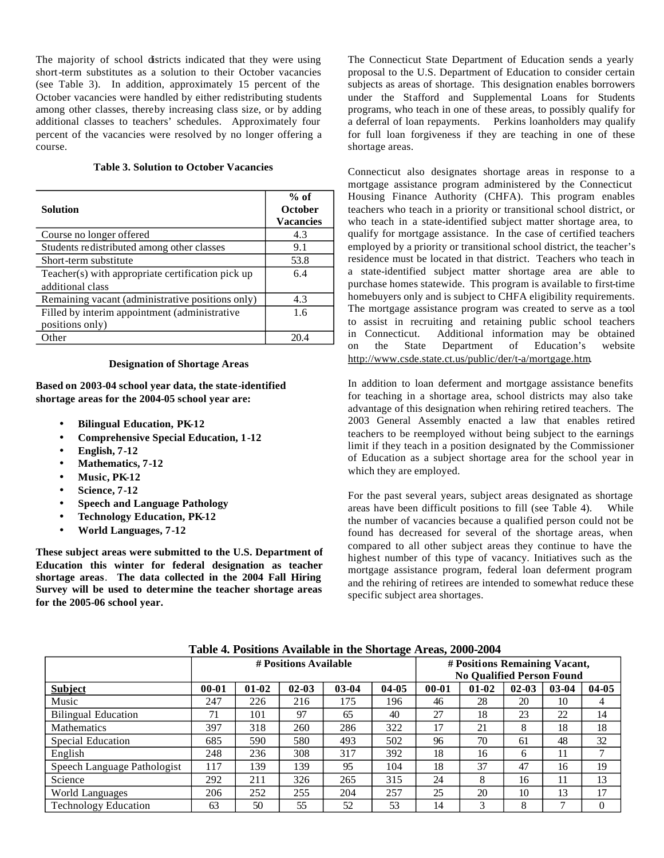The majority of school districts indicated that they were using short-term substitutes as a solution to their October vacancies (see Table 3). In addition, approximately 15 percent of the October vacancies were handled by either redistributing students among other classes, thereby increasing class size, or by adding additional classes to teachers' schedules. Approximately four percent of the vacancies were resolved by no longer offering a course.

### **Table 3. Solution to October Vacancies**

| <b>Solution</b>                                   | $%$ of<br><b>October</b><br><b>Vacancies</b> |
|---------------------------------------------------|----------------------------------------------|
| Course no longer offered                          | 4.3                                          |
| Students redistributed among other classes        | 9.1                                          |
| Short-term substitute                             | 53.8                                         |
| Teacher(s) with appropriate certification pick up | 6.4                                          |
| additional class                                  |                                              |
| Remaining vacant (administrative positions only)  | 4.3                                          |
| Filled by interim appointment (administrative     | 1.6                                          |
| positions only)                                   |                                              |
| )ther                                             | 20 4                                         |

#### **Designation of Shortage Areas**

**Based on 2003-04 school year data, the state-identified shortage areas for the 2004-05 school year are:** 

- **Bilingual Education, PK-12**
- **Comprehensive Special Education, 1-12**
- **English, 7-12**
- **Mathematics, 7-12**
- **Music, PK-12**
- **Science, 7-12**
- **Speech and Language Pathology**
- **Technology Education, PK-12**
- **World Languages, 7-12**

**These subject areas were submitted to the U.S. Department of Education this winter for federal designation as teacher shortage areas**. **The data collected in the 2004 Fall Hiring Survey will be used to determine the teacher shortage areas for the 2005-06 school year.** 

The Connecticut State Department of Education sends a yearly proposal to the U.S. Department of Education to consider certain subjects as areas of shortage. This designation enables borrowers under the Stafford and Supplemental Loans for Students programs, who teach in one of these areas, to possibly qualify for a deferral of loan repayments. Perkins loanholders may qualify for full loan forgiveness if they are teaching in one of these shortage areas.

Connecticut also designates shortage areas in response to a mortgage assistance program administered by the Connecticut Housing Finance Authority (CHFA). This program enables teachers who teach in a priority or transitional school district, or who teach in a state-identified subject matter shortage area, to qualify for mortgage assistance. In the case of certified teachers employed by a priority or transitional school district, the teacher's residence must be located in that district. Teachers who teach in a state-identified subject matter shortage area are able to purchase homes statewide. This program is available to first-time homebuyers only and is subject to CHFA eligibility requirements. The mortgage assistance program was created to serve as a tool to assist in recruiting and retaining public school teachers in Connecticut. Additional information may be obtained on the State Department of Education's website http://www.csde.state.ct.us/public/der/t-a/mortgage.htm.

In addition to loan deferment and mortgage assistance benefits for teaching in a shortage area, school districts may also take advantage of this designation when rehiring retired teachers. The 2003 General Assembly enacted a law that enables retired teachers to be reemployed without being subject to the earnings limit if they teach in a position designated by the Commissioner of Education as a subject shortage area for the school year in which they are employed.

For the past several years, subject areas designated as shortage areas have been difficult positions to fill (see Table 4). While the number of vacancies because a qualified person could not be found has decreased for several of the shortage areas, when compared to all other subject areas they continue to have the highest number of this type of vacancy. Initiatives such as the mortgage assistance program, federal loan deferment program and the rehiring of retirees are intended to somewhat reduce these specific subject area shortages.

|                             | # Positions Available |         |           |           |           | # Positions Remaining Vacant,<br><b>No Qualified Person Found</b> |         |           |         |           |
|-----------------------------|-----------------------|---------|-----------|-----------|-----------|-------------------------------------------------------------------|---------|-----------|---------|-----------|
| <b>Subject</b>              | $00 - 01$             | $01-02$ | $02 - 03$ | $03 - 04$ | $04 - 05$ | $00 - 01$                                                         | $01-02$ | $02 - 03$ | $03-04$ | $04 - 05$ |
| Music                       | 247                   | 226     | 216       | 175       | 196       | 46                                                                | 28      | 20        | 10      | 4         |
| <b>Bilingual Education</b>  | 71                    | 101     | 97        | 65        | 40        | 27                                                                | 18      | 23        | 22      | 14        |
| <b>Mathematics</b>          | 397                   | 318     | 260       | 286       | 322       | 17                                                                | 21      | 8         | 18      | 18        |
| Special Education           | 685                   | 590     | 580       | 493       | 502       | 96                                                                | 70      | 61        | 48      | 32        |
| English                     | 248                   | 236     | 308       | 317       | 392       | 18                                                                | 16      | 6         | 11      |           |
| Speech Language Pathologist | 117                   | 139     | 39        | 95        | 104       | 18                                                                | 37      | 47        | 16      | 19        |
| Science                     | 292                   | 211     | 326       | 265       | 315       | 24                                                                | 8       | 16        | 11      | 13        |
| World Languages             | 206                   | 252     | 255       | 204       | 257       | 25                                                                | 20      | 10        | 13      | 17        |
| <b>Technology Education</b> | 63                    | 50      | 55        | 52        | 53        | 14                                                                | 3       | 8         | 7       |           |

**Table 4. Positions Available in the Shortage Areas, 2000-2004**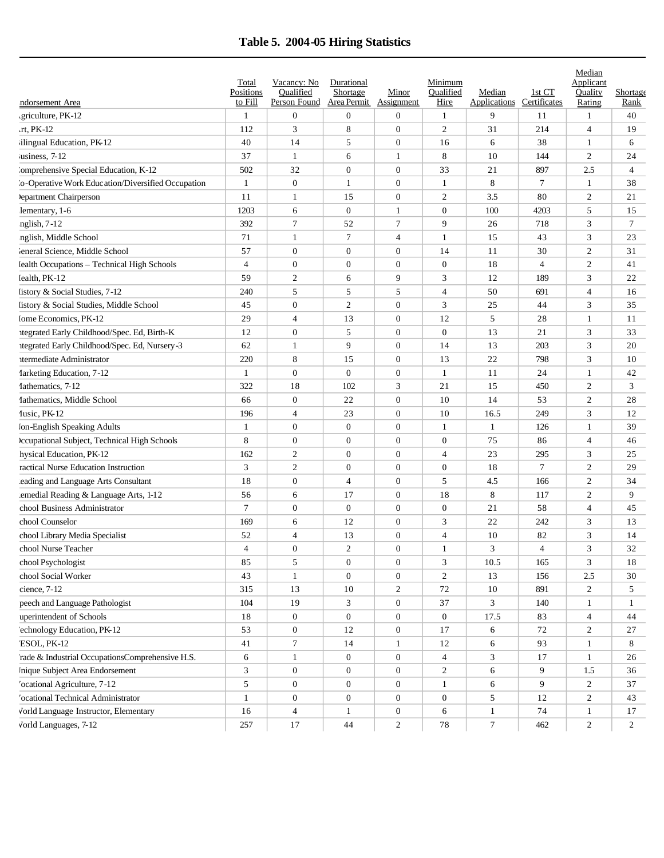## **Table 5. 2004-05 Hiring Statistics**

|                                                     | Total<br>Positions | Vacancy: No<br>Oualified | Durational<br>Shortage | Minor            | Minimum<br>Oualified | Median              | 1st CT         | Median<br>Applicant<br>Quality | Shortage       |
|-----------------------------------------------------|--------------------|--------------------------|------------------------|------------------|----------------------|---------------------|----------------|--------------------------------|----------------|
| ndorsement Area                                     | to Fill            | Person Found             | Area Permit            | Assignment       | Hire                 | <b>Applications</b> | Certificates   | Rating                         | Rank           |
| griculture, PK-12                                   | 1                  | $\boldsymbol{0}$         | $\boldsymbol{0}$       | $\boldsymbol{0}$ | 1                    | 9                   | 11             | $\mathbf{1}$                   | 40             |
| $rt$ , $PK-12$                                      | 112                | 3                        | 8                      | $\boldsymbol{0}$ | 2                    | 31                  | 214            | $\overline{4}$                 | 19             |
| ilingual Education, PK-12                           | 40                 | 14                       | 5                      | $\overline{0}$   | 16                   | 6                   | 38             | 1                              | 6              |
| usiness, $7-12$                                     | 37                 | $\mathbf{1}$             | 6                      | $\mathbf{1}$     | 8                    | 10                  | 144            | $\mathfrak{2}$                 | 24             |
| 'omprehensive Special Education, K-12               | 502                | 32                       | $\overline{0}$         | $\overline{0}$   | 33                   | 21                  | 897            | 2.5                            | $\overline{4}$ |
| 'o-Operative Work Education/Diversified Occupation  | $\mathbf{1}$       | $\boldsymbol{0}$         | $\mathbf{1}$           | $\overline{0}$   | 1                    | 8                   | $\overline{7}$ | -1                             | 38             |
| lepartment Chairperson                              | 11                 | 1                        | 15                     | $\boldsymbol{0}$ | $\overline{2}$       | 3.5                 | 80             | $\overline{2}$                 | 21             |
| lementary, 1-6                                      | 1203               | 6                        | $\boldsymbol{0}$       | 1                | $\boldsymbol{0}$     | 100                 | 4203           | 5                              | 15             |
| nglish, 7-12                                        | 392                | 7                        | 52                     | $\overline{7}$   | 9                    | 26                  | 718            | 3                              | $\tau$         |
| nglish, Middle School                               | 71                 | 1                        | $\tau$                 | $\overline{4}$   | 1                    | 15                  | 43             | 3                              | 23             |
| leneral Science, Middle School                      | 57                 | $\boldsymbol{0}$         | $\mathbf{0}$           | $\mathbf{0}$     | 14                   | 11                  | 30             | $\overline{2}$                 | 31             |
| lealth Occupations - Technical High Schools         | $\overline{4}$     | $\boldsymbol{0}$         | $\mathbf{0}$           | $\mathbf{0}$     | $\boldsymbol{0}$     | 18                  | $\overline{4}$ | $\overline{c}$                 | 41             |
| lealth, PK-12                                       | 59                 | $\mathbf{2}$             | 6                      | 9                | 3                    | 12                  | 189            | 3                              | 22             |
| listory & Social Studies, 7-12                      | 240                | 5                        | 5                      | 5                | 4                    | 50                  | 691            | $\overline{4}$                 | 16             |
| listory & Social Studies, Middle School             | 45                 | $\boldsymbol{0}$         | $\overline{c}$         | $\overline{0}$   | 3                    | 25                  | 44             | 3                              | 35             |
| Iome Economics, PK-12                               | 29                 | $\overline{4}$           | 13                     | $\boldsymbol{0}$ | 12                   | 5                   | 28             | 1                              | 11             |
| tegrated Early Childhood/Spec. Ed, Birth-K          | 12                 | $\boldsymbol{0}$         | 5                      | $\overline{0}$   | $\boldsymbol{0}$     | 13                  | 21             | 3                              | 33             |
| itegrated Early Childhood/Spec. Ed, Nursery-3       | 62                 | 1                        | 9                      | $\overline{0}$   | 14                   | 13                  | 203            | 3                              | 20             |
| ttermediate Administrator                           | 220                | 8                        | 15                     | $\boldsymbol{0}$ | 13                   | 22                  | 798            | 3                              | 10             |
| <b>farketing Education</b> , 7-12                   | $\mathbf{1}$       | $\mathbf{0}$             | $\mathbf{0}$           | $\boldsymbol{0}$ | 1                    | 11                  | 24             | $\mathbf{1}$                   | 42             |
| fathematics, 7-12                                   | 322                | 18                       | 102                    | 3                | 21                   | 15                  | 450            | $\overline{2}$                 | 3              |
| Iathematics, Middle School                          | 66                 | $\boldsymbol{0}$         | 22                     | $\overline{0}$   | 10                   | 14                  | 53             | $\overline{2}$                 | 28             |
| fusic, PK-12                                        | 196                | $\overline{4}$           | 23                     | $\overline{0}$   | 10                   | 16.5                | 249            | 3                              | 12             |
| Ion-English Speaking Adults                         | 1                  | $\boldsymbol{0}$         | $\mathbf{0}$           | $\mathbf{0}$     | 1                    | 1                   | 126            | 1                              | 39             |
| <b>Iccupational Subject, Technical High Schools</b> | 8                  | $\boldsymbol{0}$         | $\boldsymbol{0}$       | $\overline{0}$   | $\boldsymbol{0}$     | 75                  | 86             | $\overline{4}$                 | 46             |
| hysical Education, PK-12                            | 162                | 2                        | $\mathbf{0}$           | $\boldsymbol{0}$ | 4                    | 23                  | 295            | 3                              | 25             |
| ractical Nurse Education Instruction                | 3                  | 2                        | $\mathbf{0}$           | $\overline{0}$   | $\boldsymbol{0}$     | 18                  | $\overline{7}$ | $\overline{2}$                 | 29             |
| eading and Language Arts Consultant                 | 18                 | $\boldsymbol{0}$         | $\overline{4}$         | $\overline{0}$   | 5                    | 4.5                 | 166            | $\overline{2}$                 | 34             |
| emedial Reading & Language Arts, 1-12               | 56                 | 6                        | 17                     | $\overline{0}$   | 18                   | 8                   | 117            | $\overline{2}$                 | 9              |
| chool Business Administrator                        | $\overline{7}$     | $\boldsymbol{0}$         | $\mathbf{0}$           | $\overline{0}$   | $\boldsymbol{0}$     | 21                  | 58             | $\overline{4}$                 | 45             |
| chool Counselor                                     | 169                | 6                        | 12                     | $\boldsymbol{0}$ | 3                    | 22                  | 242            | 3                              | 13             |
| chool Library Media Specialist                      | 52                 | 4                        | 13                     | $\boldsymbol{0}$ | 4                    | 10                  | 82             | 3                              | 14             |
| chool Nurse Teacher                                 | $\overline{4}$     | $\mathbf{0}$             | $\overline{2}$         | $\overline{0}$   | 1                    | 3                   | $\overline{4}$ | 3                              | 32             |
| chool Psychologist                                  | 85                 | 5                        | $\overline{0}$         | $\boldsymbol{0}$ | 3                    | 10.5                | 165            | 3                              | 18             |
| chool Social Worker                                 | 43                 | $\mathbf{1}$             | $\overline{0}$         | $\boldsymbol{0}$ | 2                    | 13                  | 156            | 2.5                            | 30             |
| cience, 7-12                                        | 315                | 13                       | 10                     | 2                | 72                   | 10                  | 891            | 2                              | 5              |
| peech and Language Pathologist                      | 104                | 19                       | 3                      | $\boldsymbol{0}$ | 37                   | 3                   | 140            | 1                              | $\mathbf{1}$   |
| uperintendent of Schools                            | 18                 | $\mathbf{0}$             | $\mathbf{0}$           | $\boldsymbol{0}$ | $\boldsymbol{0}$     | 17.5                | 83             | $\overline{4}$                 | 44             |
| echnology Education, PK-12                          | 53                 | $\mathbf{0}$             | 12                     | $\boldsymbol{0}$ | 17                   | 6                   | 72             | 2                              | 27             |
| ESOL, PK-12                                         | 41                 | $\tau$                   | 14                     | $\mathbf{1}$     | 12                   | 6                   | 93             | 1                              | 8              |
| rade & Industrial OccupationsComprehensive H.S.     | 6                  | $\mathbf{1}$             | $\boldsymbol{0}$       | $\boldsymbol{0}$ | 4                    | 3                   | 17             | 1                              | 26             |
| Inique Subject Area Endorsement                     | 3                  | $\boldsymbol{0}$         | $\overline{0}$         | $\boldsymbol{0}$ | $\overline{c}$       | 6                   | 9              | 1.5                            | 36             |
| 'ocational Agriculture, 7-12                        | 5                  | $\mathbf{0}$             | $\overline{0}$         | $\boldsymbol{0}$ | $\mathbf{1}$         | 6                   | 9              | 2                              | 37             |
| 'ocational Technical Administrator                  | $\mathbf{1}$       | $\mathbf{0}$             | $\boldsymbol{0}$       | $\boldsymbol{0}$ | $\boldsymbol{0}$     | 5                   | 12             | 2                              | 43             |
| Vorld Language Instructor, Elementary               | 16                 | $\overline{4}$           | $\mathbf{1}$           | $\boldsymbol{0}$ | 6                    | $\mathbf{1}$        | 74             | 1                              | 17             |
| Vorld Languages, 7-12                               | 257                | 17                       | 44                     | $\overline{c}$   | 78                   | $\tau$              | 462            | $\overline{c}$                 | $\overline{c}$ |